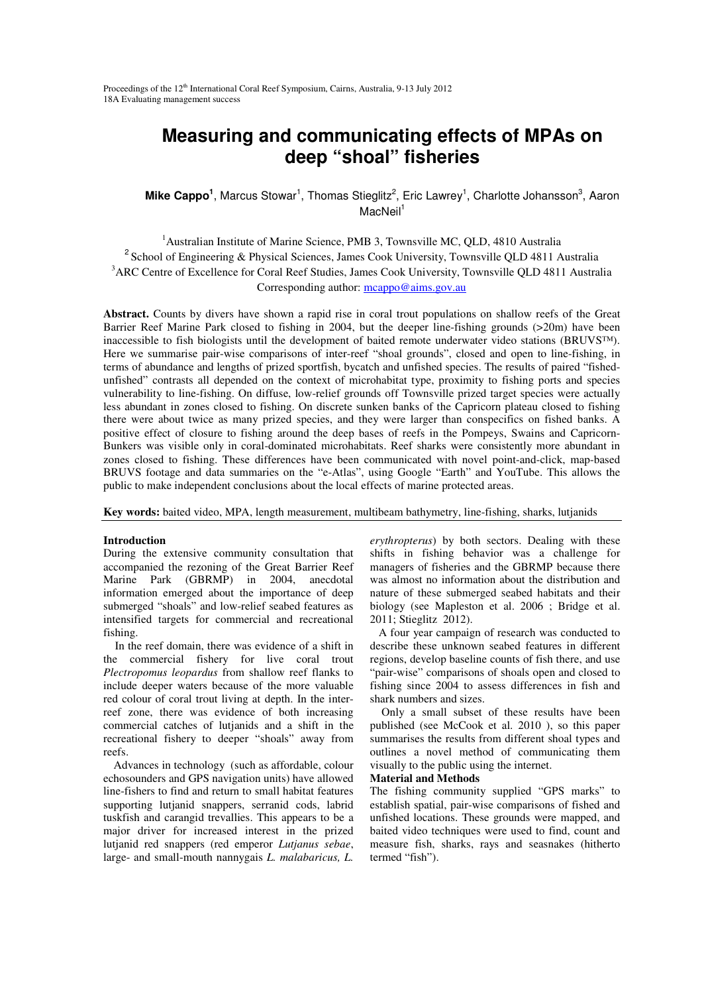# **Measuring and communicating effects of MPAs on deep "shoal" fisheries**

**Mike Cappo<sup>1</sup>**, Marcus Stowar<sup>1</sup>, Thomas Stieglitz<sup>2</sup>, Eric Lawrey<sup>1</sup>, Charlotte Johansson<sup>3</sup>, Aaron  $MacNeil<sup>1</sup>$ 

<sup>1</sup>Australian Institute of Marine Science, PMB 3, Townsville MC, QLD, 4810 Australia <sup>2</sup> School of Engineering & Physical Sciences, James Cook University, Townsville QLD 4811 Australia <sup>3</sup>ARC Centre of Excellence for Coral Reef Studies, James Cook University, Townsville QLD 4811 Australia Corresponding author: mcappo@aims.gov.au

**Abstract.** Counts by divers have shown a rapid rise in coral trout populations on shallow reefs of the Great Barrier Reef Marine Park closed to fishing in 2004, but the deeper line-fishing grounds (>20m) have been inaccessible to fish biologists until the development of baited remote underwater video stations (BRUVS™). Here we summarise pair-wise comparisons of inter-reef "shoal grounds", closed and open to line-fishing, in terms of abundance and lengths of prized sportfish, bycatch and unfished species. The results of paired "fishedunfished" contrasts all depended on the context of microhabitat type, proximity to fishing ports and species vulnerability to line-fishing. On diffuse, low-relief grounds off Townsville prized target species were actually less abundant in zones closed to fishing. On discrete sunken banks of the Capricorn plateau closed to fishing there were about twice as many prized species, and they were larger than conspecifics on fished banks. A positive effect of closure to fishing around the deep bases of reefs in the Pompeys, Swains and Capricorn-Bunkers was visible only in coral-dominated microhabitats. Reef sharks were consistently more abundant in zones closed to fishing. These differences have been communicated with novel point-and-click, map-based BRUVS footage and data summaries on the "e-Atlas", using Google "Earth" and YouTube. This allows the public to make independent conclusions about the local effects of marine protected areas.

**Key words:** baited video, MPA, length measurement, multibeam bathymetry, line-fishing, sharks, lutjanids

#### **Introduction**

During the extensive community consultation that accompanied the rezoning of the Great Barrier Reef Marine Park (GBRMP) in 2004, anecdotal information emerged about the importance of deep submerged "shoals" and low-relief seabed features as intensified targets for commercial and recreational fishing.

 In the reef domain, there was evidence of a shift in the commercial fishery for live coral trout *Plectropomus leopardus* from shallow reef flanks to include deeper waters because of the more valuable red colour of coral trout living at depth. In the interreef zone, there was evidence of both increasing commercial catches of lutjanids and a shift in the recreational fishery to deeper "shoals" away from reefs.

Advances in technology (such as affordable, colour echosounders and GPS navigation units) have allowed line-fishers to find and return to small habitat features supporting lutjanid snappers, serranid cods, labrid tuskfish and carangid trevallies. This appears to be a major driver for increased interest in the prized lutjanid red snappers (red emperor *Lutjanus sebae*, large- and small-mouth nannygais *L. malabaricus, L.* 

*erythropterus*) by both sectors. Dealing with these shifts in fishing behavior was a challenge for managers of fisheries and the GBRMP because there was almost no information about the distribution and nature of these submerged seabed habitats and their biology (see Mapleston et al. 2006 ; Bridge et al. 2011; Stieglitz 2012).

 A four year campaign of research was conducted to describe these unknown seabed features in different regions, develop baseline counts of fish there, and use "pair-wise" comparisons of shoals open and closed to fishing since 2004 to assess differences in fish and shark numbers and sizes.

 Only a small subset of these results have been published (see McCook et al. 2010 ), so this paper summarises the results from different shoal types and outlines a novel method of communicating them visually to the public using the internet.

#### **Material and Methods**

The fishing community supplied "GPS marks" to establish spatial, pair-wise comparisons of fished and unfished locations. These grounds were mapped, and baited video techniques were used to find, count and measure fish, sharks, rays and seasnakes (hitherto termed "fish").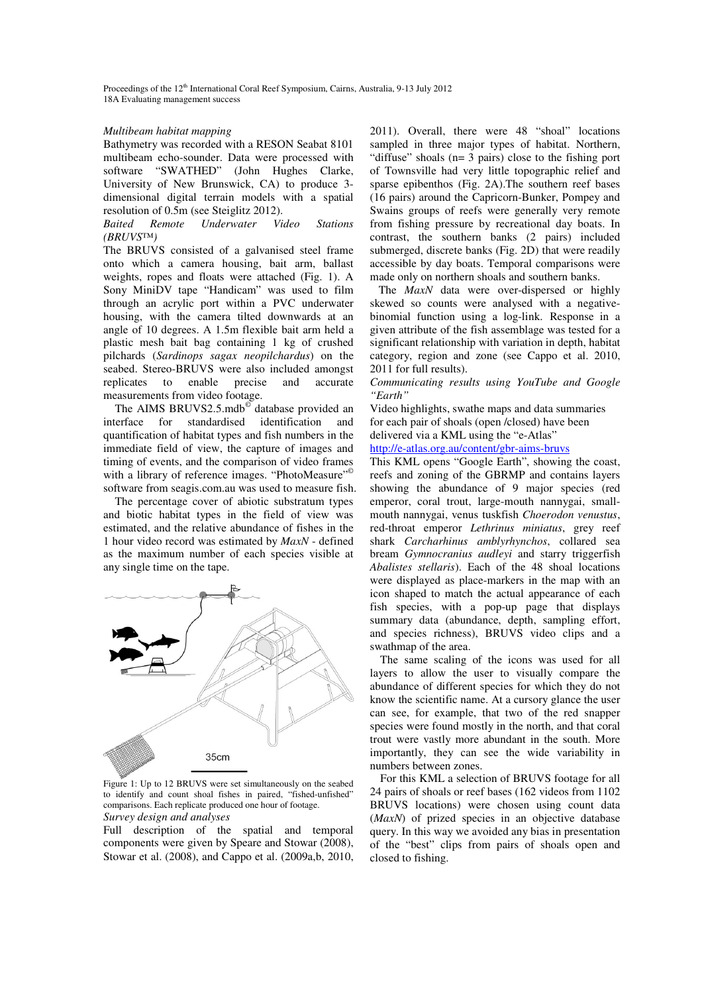#### *Multibeam habitat mapping*

Bathymetry was recorded with a RESON Seabat 8101 multibeam echo-sounder. Data were processed with software "SWATHED" (John Hughes Clarke, University of New Brunswick, CA) to produce 3 dimensional digital terrain models with a spatial resolution of 0.5m (see Steiglitz 2012).

*Baited Remote Underwater Video Stations (BRUVS™)*

The BRUVS consisted of a galvanised steel frame onto which a camera housing, bait arm, ballast weights, ropes and floats were attached (Fig. 1). A Sony MiniDV tape "Handicam" was used to film through an acrylic port within a PVC underwater housing, with the camera tilted downwards at an angle of 10 degrees. A 1.5m flexible bait arm held a plastic mesh bait bag containing 1 kg of crushed pilchards (*Sardinops sagax neopilchardus*) on the seabed. Stereo-BRUVS were also included amongst replicates to enable precise and accurate measurements from video footage.

The AIMS BRUVS2.5.mdb<sup>o database</sup> provided an interface for standardised identification and quantification of habitat types and fish numbers in the immediate field of view, the capture of images and timing of events, and the comparison of video frames with a library of reference images. "PhotoMeasure"<sup>©</sup> software from seagis.com.au was used to measure fish.

 The percentage cover of abiotic substratum types and biotic habitat types in the field of view was estimated, and the relative abundance of fishes in the 1 hour video record was estimated by *MaxN* - defined as the maximum number of each species visible at any single time on the tape.



Figure 1: Up to 12 BRUVS were set simultaneously on the seabed to identify and count shoal fishes in paired, "fished-unfished" comparisons. Each replicate produced one hour of footage. *Survey design and analyses*

Full description of the spatial and temporal components were given by Speare and Stowar (2008), Stowar et al. (2008), and Cappo et al. (2009a,b, 2010, 2011). Overall, there were 48 "shoal" locations sampled in three major types of habitat. Northern, "diffuse" shoals (n= 3 pairs) close to the fishing port of Townsville had very little topographic relief and sparse epibenthos (Fig. 2A).The southern reef bases (16 pairs) around the Capricorn-Bunker, Pompey and Swains groups of reefs were generally very remote from fishing pressure by recreational day boats. In contrast, the southern banks (2 pairs) included submerged, discrete banks (Fig. 2D) that were readily accessible by day boats. Temporal comparisons were made only on northern shoals and southern banks.

 The *MaxN* data were over-dispersed or highly skewed so counts were analysed with a negativebinomial function using a log-link. Response in a given attribute of the fish assemblage was tested for a significant relationship with variation in depth, habitat category, region and zone (see Cappo et al. 2010, 2011 for full results).

*Communicating results using YouTube and Google "Earth"*

Video highlights, swathe maps and data summaries for each pair of shoals (open /closed) have been delivered via a KML using the "e-Atlas"

http://e-atlas.org.au/content/gbr-aims-bruvs

This KML opens "Google Earth", showing the coast, reefs and zoning of the GBRMP and contains layers showing the abundance of 9 major species (red emperor, coral trout, large-mouth nannygai, smallmouth nannygai, venus tuskfish *Choerodon venustus*, red-throat emperor *Lethrinus miniatus*, grey reef shark *Carcharhinus amblyrhynchos*, collared sea bream *Gymnocranius audleyi* and starry triggerfish *Abalistes stellaris*). Each of the 48 shoal locations were displayed as place-markers in the map with an icon shaped to match the actual appearance of each fish species, with a pop-up page that displays summary data (abundance, depth, sampling effort, and species richness), BRUVS video clips and a swathmap of the area.

The same scaling of the icons was used for all layers to allow the user to visually compare the abundance of different species for which they do not know the scientific name. At a cursory glance the user can see, for example, that two of the red snapper species were found mostly in the north, and that coral trout were vastly more abundant in the south. More importantly, they can see the wide variability in numbers between zones.

For this KML a selection of BRUVS footage for all 24 pairs of shoals or reef bases (162 videos from 1102 BRUVS locations) were chosen using count data (*MaxN*) of prized species in an objective database query. In this way we avoided any bias in presentation of the "best" clips from pairs of shoals open and closed to fishing.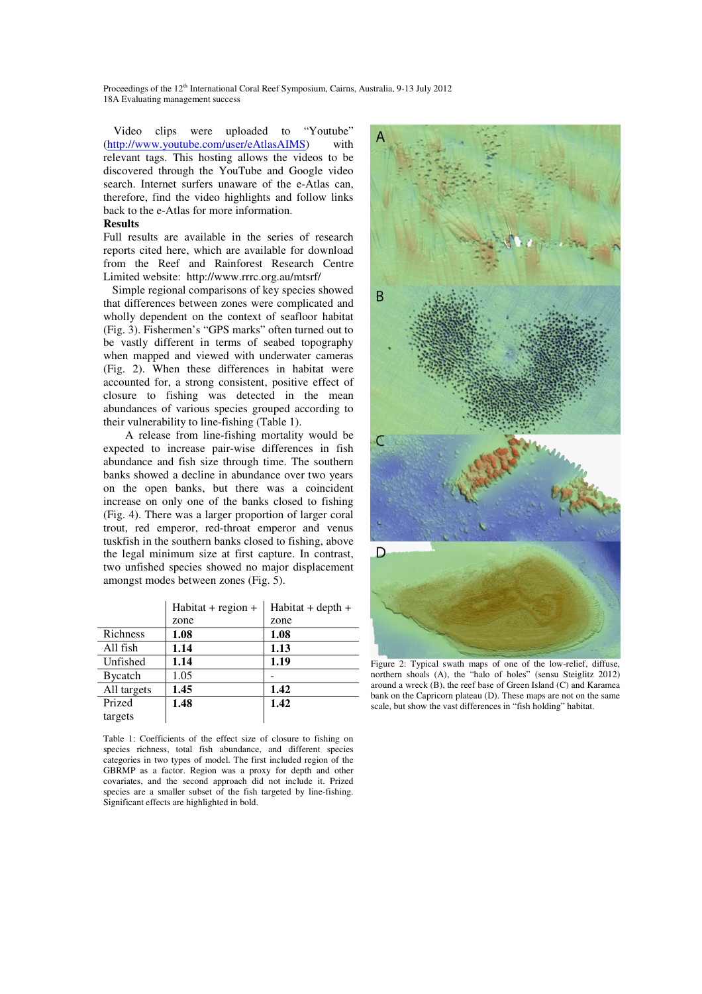Video clips were uploaded to "Youtube" (http://www.youtube.com/user/eAtlasAIMS) with relevant tags. This hosting allows the videos to be discovered through the YouTube and Google video search. Internet surfers unaware of the e-Atlas can, therefore, find the video highlights and follow links back to the e-Atlas for more information.

### **Results**

Full results are available in the series of research reports cited here, which are available for download from the Reef and Rainforest Research Centre Limited website: http://www.rrrc.org.au/mtsrf/

 Simple regional comparisons of key species showed that differences between zones were complicated and wholly dependent on the context of seafloor habitat (Fig. 3). Fishermen's "GPS marks" often turned out to be vastly different in terms of seabed topography when mapped and viewed with underwater cameras (Fig. 2). When these differences in habitat were accounted for, a strong consistent, positive effect of closure to fishing was detected in the mean abundances of various species grouped according to their vulnerability to line-fishing (Table 1).

 A release from line-fishing mortality would be expected to increase pair-wise differences in fish abundance and fish size through time. The southern banks showed a decline in abundance over two years on the open banks, but there was a coincident increase on only one of the banks closed to fishing (Fig. 4). There was a larger proportion of larger coral trout, red emperor, red-throat emperor and venus tuskfish in the southern banks closed to fishing, above the legal minimum size at first capture. In contrast, two unfished species showed no major displacement amongst modes between zones (Fig. 5).

|                 | $Habitat + region +$ | $Habitat + depth +$ |
|-----------------|----------------------|---------------------|
|                 | zone                 | zone                |
| Richness        | 1.08                 | 1.08                |
| All fish        | 1.14                 | 1.13                |
| Unfished        | 1.14                 | 1.19                |
| <b>B</b> ycatch | 1.05                 |                     |
| All targets     | 1.45                 | 1.42                |
| Prized          | 1.48                 | 1.42                |
| targets         |                      |                     |

Table 1: Coefficients of the effect size of closure to fishing on species richness, total fish abundance, and different species categories in two types of model. The first included region of the GBRMP as a factor. Region was a proxy for depth and other covariates, and the second approach did not include it. Prized species are a smaller subset of the fish targeted by line-fishing. Significant effects are highlighted in bold.



Figure 2: Typical swath maps of one of the low-relief, diffuse, northern shoals (A), the "halo of holes" (sensu Steiglitz 2012) around a wreck (B), the reef base of Green Island (C) and Karamea bank on the Capricorn plateau (D). These maps are not on the same scale, but show the vast differences in "fish holding" habitat.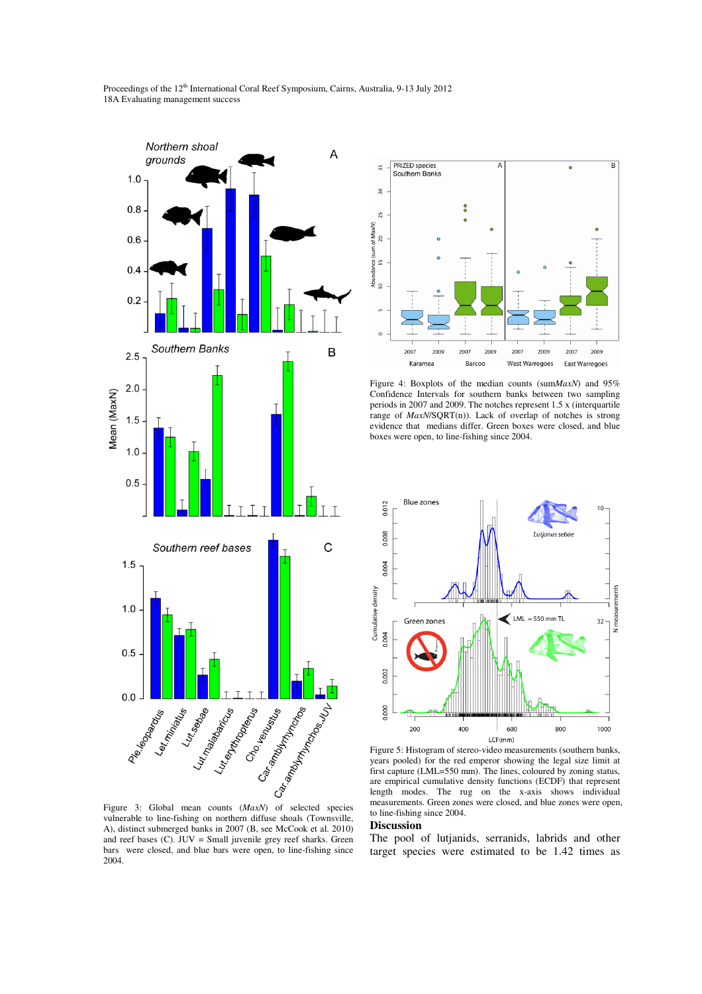

vulnerable to line-fishing on northern diffuse shoals (Townsville, A), distinct submerged banks in 2007 (B, see McCook et al. 2010) and reef bases (C). JUV = Small juvenile grey reef sharks. Green bars were closed, and blue bars were open, to line-fishing since 2004.



Figure 4: Boxplots of the median counts (sum*MaxN*) and 95% Confidence Intervals for southern banks between two sampling periods in 2007 and 2009. The notches represent 1.5 x (interquartile range of *MaxN*/SQRT(n)). Lack of overlap of notches is strong evidence that medians differ. Green boxes were closed, and blue boxes were open, to line-fishing since 2004.



Figure 5: Histogram of stereo-video measurements (southern banks, years pooled) for the red emperor showing the legal size limit at first capture (LML=550 mm). The lines, coloured by zoning status, are empirical cumulative density functions (ECDF) that represent length modes. The rug on the x-axis shows individual measurements. Green zones were closed, and blue zones were open, to line-fishing since 2004.

## **Discussion**

The pool of lutjanids, serranids, labrids and other target species were estimated to be 1.42 times as